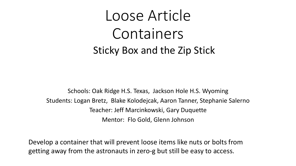## Loose Article Containers Sticky Box and the Zip Stick

Schools: Oak Ridge H.S. Texas, Jackson Hole H.S. Wyoming Students: Logan Bretz, Blake Kolodejcak, Aaron Tanner, Stephanie Salerno Teacher: Jeff Marcinkowski, Gary Duquette Mentor: Flo Gold, Glenn Johnson

Develop a container that will prevent loose items like nuts or bolts from getting away from the astronauts in zero-g but still be easy to access.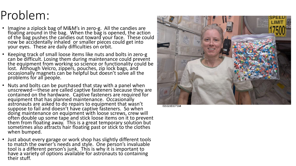## Problem:

- Imagine a ziplock bag of M&M's in zero-g. All the candies are floating around in the bag. When the bag is opened, the action of the bag pushes the candies out toward your face. These could now be accidentally inhaled or smaller pieces could get into your eyes. These are daily difficulties on orbit.
- Keeping track of small loose items like nuts and bolts in zero-g can be difficult. Losing them during maintenance could prevent the equipment from working so science or functionality could be lost. Although Velcro, zippers, pouches, zip lock bags, and occasionally magnets can be helpful but doesn't solve all the problems for all people.
- Nuts and bolts can be purchased that stay with a panel when unscrewed—these are called captive fasteners because they are contained on the hardware. Captive fasteners are required for equipment that has planned maintenance. Occasionally astronauts are asked to do repairs to equipment that wasn't suppose to fail and doesn't have captive fasteners. So when doing maintenance on equipment with loose screws, crew will often double up some tape and stick loose items on it to prevent them from floating away. This is a great temporary solution but sometimes also attracts hair floating past or stick to the clothes when bumped.
- Just about every garage or work shop has slightly different tools to match the owner's needs and style. One person's invaluable tool is a different person's junk. This is why it is important to have a variety of options available for astronauts to containing their stuff.



ISS025E007584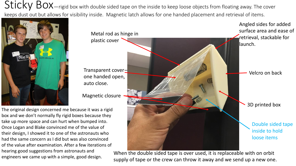Sticky BOX—rigid box with double sided tape on the inside to keep loose objects from floating away. The cover keeps dust out but allows for visibility inside. Magnetic latch allows for one handed placement and retrieval of items.





When the double sided tape is over used, it is replaceable with on orbit supply of tape or the crew can throw it away and we send up a new one.

The original design concerned me because it was a rigid box and we don't normally fly rigid boxes because they take up more space and can hurt when bumped into. Once Logan and Blake convinced me of the value of their design, I showed it to one of the astronauts who had the same concern as I did but was also convinced of the value after examination. After a few iterations of hearing good suggestions from astronauts and engineers we came up with a simple, good design.